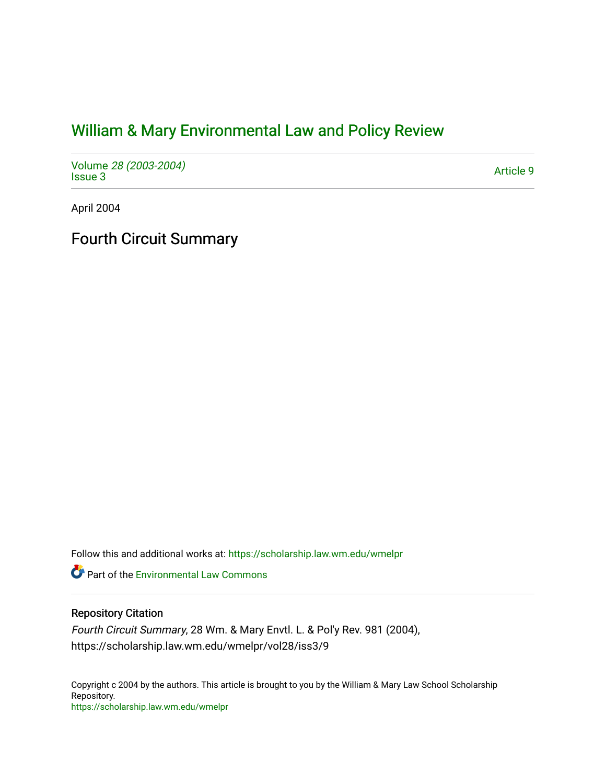# [William & Mary Environmental Law and Policy Review](https://scholarship.law.wm.edu/wmelpr)

Volume [28 \(2003-2004\)](https://scholarship.law.wm.edu/wmelpr/vol28)  volume 20 (2003-2004)<br>[Issue 3](https://scholarship.law.wm.edu/wmelpr/vol28/iss3) Article 9

April 2004

Fourth Circuit Summary

Follow this and additional works at: [https://scholarship.law.wm.edu/wmelpr](https://scholarship.law.wm.edu/wmelpr?utm_source=scholarship.law.wm.edu%2Fwmelpr%2Fvol28%2Fiss3%2F9&utm_medium=PDF&utm_campaign=PDFCoverPages)

**P** Part of the [Environmental Law Commons](http://network.bepress.com/hgg/discipline/599?utm_source=scholarship.law.wm.edu%2Fwmelpr%2Fvol28%2Fiss3%2F9&utm_medium=PDF&utm_campaign=PDFCoverPages)

## Repository Citation

Fourth Circuit Summary, 28 Wm. & Mary Envtl. L. & Pol'y Rev. 981 (2004), https://scholarship.law.wm.edu/wmelpr/vol28/iss3/9

Copyright c 2004 by the authors. This article is brought to you by the William & Mary Law School Scholarship Repository. <https://scholarship.law.wm.edu/wmelpr>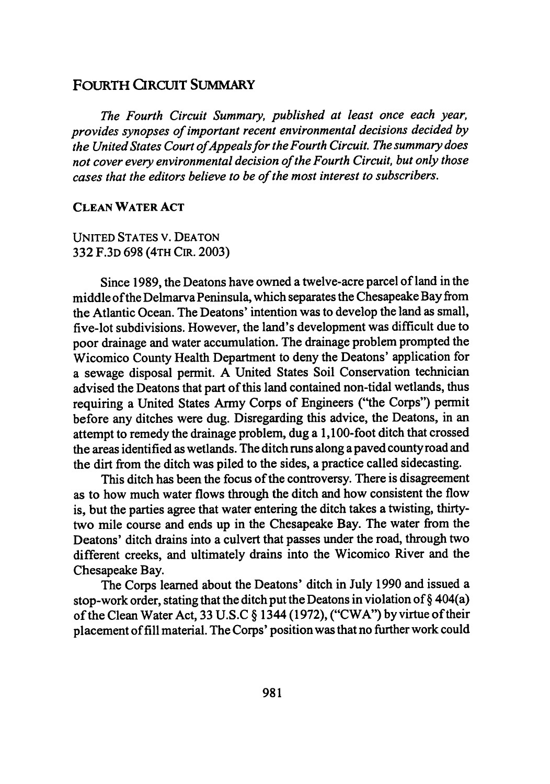## **FOURTH CIRCUIT SUMMARY**

*The Fourth Circuit Summary, published at least once each year, provides synopses of important recent environmental decisions decided by the United States Court ofAppeals for the Fourth Circuit. The summary does not cover every environmental decision of the Fourth Circuit, but only those cases that the editors believe to be of the most interest to subscribers.*

#### **CLEAN WATER ACT**

**UNITED STATES** V. **DEATON 332 F.3D 698 (4TH** CIR. **2003)**

Since **1989,** the Deatons have owned a twelve-acre parcel of land in the middle of the Delmarva Peninsula, which separates the Chesapeake Bay from the Atlantic Ocean. The Deatons' intention was to develop the land as small, five-lot subdivisions. However, the land's development was difficult due to poor drainage and water accumulation. The drainage problem prompted the Wicomico County Health Department to deny the Deatons' application for a sewage disposal permit. **A** United States Soil Conservation technician advised the Deatons that part of this land contained non-tidal wetlands, thus requiring a United States Army Corps of Engineers ("the Corps") permit before any ditches were dug. Disregarding this advice, the Deatons, in an attempt to remedy the drainage problem, dug a 1,100-foot ditch that crossed the areas identified as wetlands. The ditch runs along a paved county road and the dirt from the ditch was piled to the sides, a practice called sidecasting.

This ditch has been the focus of the controversy. There is disagreement as to how much water flows through the ditch and how consistent the flow is, but the parties agree that water entering the ditch takes a twisting, thirtytwo mile course and ends up in the Chesapeake Bay. The water from the Deatons' ditch drains into a culvert that passes under the road, through two different creeks, and ultimately drains into the Wicomico River and the Chesapeake Bay.

The Corps learned about the Deatons' ditch in July 1990 and issued a stop-work order, stating that the ditch put the Deatons in violation of  $\S 404(a)$ of the Clean Water Act, 33 U.S.C § 1344 (1972), ("CWA") by virtue of their placement of fill material. The Corps' position was that no further work could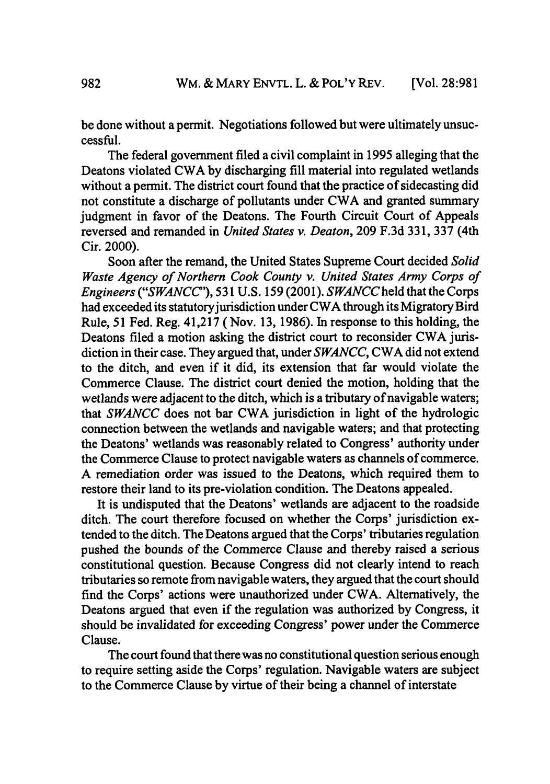be done without a permit. Negotiations followed but were ultimately unsuccessful.

The federal government filed a civil complaint in 1995 alleging that the Deatons violated CWA **by** discharging fill material into regulated wetlands without a permit. The district court found that the practice of sidecasting did not constitute a discharge of pollutants under CWA and granted summary judgment in favor of the Deatons. The Fourth Circuit Court of Appeals reversed and remanded in *United States v. Deaton,* 209 F.3d 331, **337** (4th Cir. 2000).

Soon after the remand, the United States Supreme Court decided *Solid Waste Agency of Northern Cook County v. United States Army Corps of* Engineers *("SWANCC'),* **531 U.S.** 159 (2001). *SWANCCheld* that the Corps had exceeded its statutory jurisdiction under CWA through its Migratory Bird Rule, 51 Fed. Reg. 41,217 (Nov. 13, 1986). In response to this holding, the Deatons filed a motion asking the district court to reconsider CWA jurisdiction in their case. They argued that, under *SWANCC,* CWA did not extend to the ditch, and even if it did, its extension that far would violate the Commerce Clause. The district court denied the motion, holding that the wetlands were adjacent to the ditch, which is a tributary of navigable waters; that *SWANCC* does not bar CWA jurisdiction in light of the hydrologic connection between the wetlands and navigable waters; and that protecting the Deatons' wetlands was reasonably related to Congress' authority under the Commerce Clause to protect navigable waters as channels of commerce. A remediation order was issued to the Deatons, which required them to restore their land to its pre-violation condition. The Deatons appealed.

It is undisputed that the Deatons' wetlands are adjacent to the roadside ditch. The court therefore focused on whether the Corps' jurisdiction extended to the ditch. The Deatons argued that the Corps' tributaries regulation pushed the bounds of the Commerce Clause and thereby raised a serious constitutional question. Because Congress did not clearly intend to reach tributaries so remote from navigable waters, they argued that the court should find the Corps' actions were unauthorized under CWA. Alternatively, the Deatons argued that even if the regulation was authorized by Congress, it should be invalidated for exceeding Congress' power under the Commerce Clause.

The court found that there was no constitutional question serious enough to require setting aside the Corps' regulation. Navigable waters are subject to the Commerce Clause by virtue of their being a channel of interstate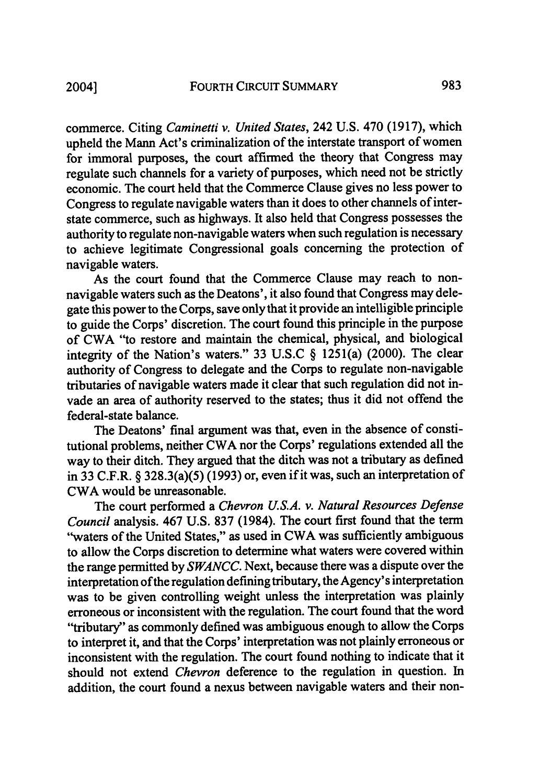commerce. Citing *Caminetti v. United States,* 242 **U.S.** 470 (1917), which upheld the Mann Act's criminalization of the interstate transport of women for immoral purposes, the court affirmed the theory that Congress may regulate such channels for a variety of purposes, which need not be strictly economic. The court held that the Commerce Clause gives no less power to Congress to regulate navigable waters than it does to other channels of interstate commerce, such as highways. It also held that Congress possesses the authority to regulate non-navigable waters when such regulation is necessary to achieve legitimate Congressional goals concerning the protection of navigable waters.

As the court found that the Commerce Clause may reach to nonnavigable waters such as the Deatons', it also found that Congress may delegate this power to the Corps, save only that it provide an intelligible principle to guide the Corps' discretion. The court found this principle in the purpose of CWA "to restore and maintain the chemical, physical, and biological integrity of the Nation's waters." 33 U.S.C § 1251(a) (2000). The clear authority of Congress to delegate and the Corps to regulate non-navigable tributaries of navigable waters made it clear that such regulation did not invade an area of authority reserved to the states; thus it did not offend the federal-state balance.

The Deatons' final argument was that, even in the absence of constitutional problems, neither CWA nor the Corps' regulations extended all the way to their ditch. They argued that the ditch was not a tributary as defined in 33 C.F.R. § 328.3(a)(5) (1993) or, even if it was, such an interpretation of CWA would be unreasonable.

The court performed a *Chevron U.S.A. v. Natural Resources Defense Council* analysis. 467 U.S. 837 (1984). The court first found that the term "waters of the United States," as used in CWA was sufficiently ambiguous to allow the Corps discretion to determine what waters were covered within the range permitted by *SWANCC.* Next, because there was a dispute over the interpretation of the regulation defining tributary, the Agency's interpretation was to be given controlling weight unless the interpretation was plainly erroneous or inconsistent with the regulation. The court found that the word "tributary" as commonly defined was ambiguous enough to allow the Corps to interpret it, and that the Corps' interpretation was not plainly erroneous or inconsistent with the regulation. The court found nothing to indicate that it should not extend *Chevron* deference to the regulation in question. In addition, the court found a nexus between navigable waters and their non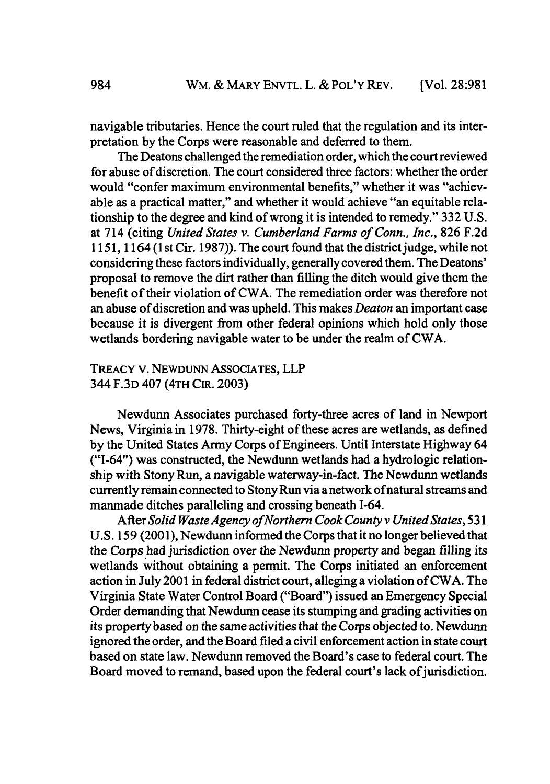navigable tributaries. Hence the court ruled that the regulation and its interpretation by the Corps were reasonable and deferred to them.

The Deatons challenged the remediation order, which the court reviewed for abuse of discretion. The court considered three factors: whether the order would "confer maximum environmental benefits," whether it was "achievable as a practical matter," and whether it would achieve "an equitable relationship to the degree and kind of wrong it is intended to remedy." 332 U.S. at 714 (citing *United States v. Cumberland Farms of Conn., Inc.,* 826 F.2d 1151, 1164 (1 st Cir. 1987)). The court found that the district judge, while not considering these factors individually, generally covered them. The Deatons' proposal to remove the dirt rather than filling the ditch would give them the benefit of their violation of CWA. The remediation order was therefore not an abuse of discretion and was upheld. This makes *Deaton* an important case because it is divergent from other federal opinions which hold only those wetlands bordering navigable water to be under the realm of CWA.

### TREACY v. NEWDUNN ASSOCIATES, LLP 344 F.3D 407 (4TH CIR. 2003)

Newdunn Associates purchased forty-three acres of land in Newport News, Virginia in 1978. Thirty-eight of these acres are wetlands, as defined by the United States Army Corps of Engineers. Until Interstate Highway 64 ("1-64") was constructed, the Newdunn wetlands had a hydrologic relationship with Stony Run, a navigable waterway-in-fact. The Newdunn wetlands currently remain connected to Stony Run via a network of natural streams and manmade ditches paralleling and crossing beneath 1-64.

After *Solid Waste Agency ofNorthern Cook County v United States,* 531 U.S. 159 (2001), Newdunn informed the Corps that it no longer believed that the Corps had jurisdiction over the Newdunn property and began filling its wetlands without obtaining a permit. The Corps initiated an enforcement action in July 2001 in federal district court, alleging a violation of CWA. The Virginia State Water Control Board ("Board") issued an Emergency Special Order demanding that Newdunn cease its stumping and grading activities on its property based on the same activities that the Corps objected to. Newdunn ignored the order, and the Board filed a civil enforcement action in state court based on state law. Newdunn removed the Board's case to federal court. The Board moved to remand, based upon the federal court's lack of jurisdiction.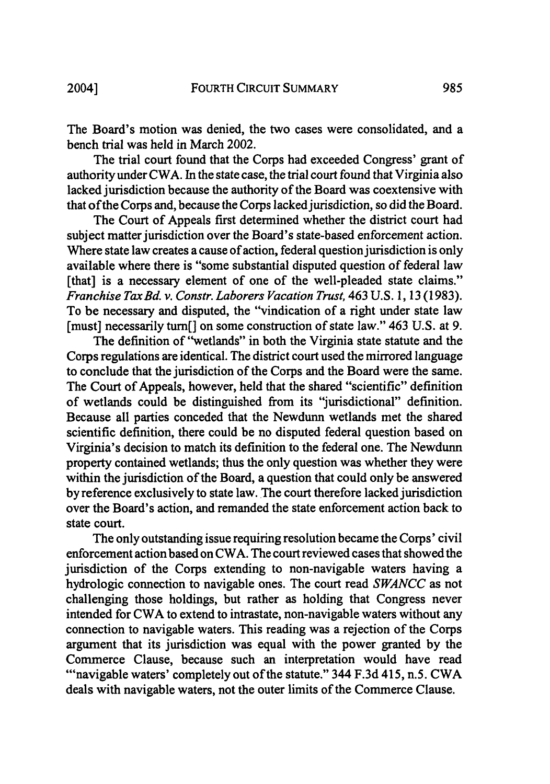The Board's motion was denied, the two cases were consolidated, and a bench trial was held in March 2002.

The trial court found that the Corps had exceeded Congress' grant of authority under CWA. In the state case, the trial court found that Virginia also lacked jurisdiction because the authority of the Board was coextensive with that of the Corps and, because the Corps lacked jurisdiction, so did the Board.

The Court of Appeals first determined whether the district court had subject matter jurisdiction over the Board's state-based enforcement action. Where state law creates a cause of action, federal question jurisdiction is only available where there is "some substantial disputed question of federal law [that] is a necessary element of one of the well-pleaded state claims." *Franchise Tax Bd. v. Constr. Laborers Vacation Trust,* 463 U.S. **1, 13** (1983). To be necessary and disputed, the "vindication of a right under state law [must] necessarily turn[] on some construction of state law." 463 **U.S.** at **9.**

The definition of "wetlands" in both the Virginia state statute and the Corps regulations are identical. The district court used the mirrored language to conclude that the jurisdiction of the Corps and the Board were the same. The Court of Appeals, however, held that the shared "scientific" definition of wetlands could be distinguished from its "jurisdictional" definition. Because all parties conceded that the Newdunn wetlands met the shared scientific definition, there could be no disputed federal question based on Virginia's decision to match its definition to the federal one. The Newdunn property contained wetlands; thus the only question was whether they were within the jurisdiction of the Board, a question that could only be answered **by** reference exclusively to state law. The court therefore lacked jurisdiction over the Board's action, and remanded the state enforcement action back to state court.

The only outstanding issue requiring resolution became the Corps' civil enforcement action based on CWA. The court reviewed cases that showed the jurisdiction of the Corps extending to non-navigable waters having a hydrologic connection to navigable ones. The court read *SWANCC* as not challenging those holdings, but rather as holding that Congress never intended for CWA to extend to intrastate, non-navigable waters without any connection to navigable waters. This reading was a rejection of the Corps argument that its jurisdiction was equal with the power granted **by** the Commerce Clause, because such an interpretation would have read "navigable waters' completely out of the statute." 344 F.3d 415, n.5. CWA deals with navigable waters, not the outer limits of the Commerce Clause.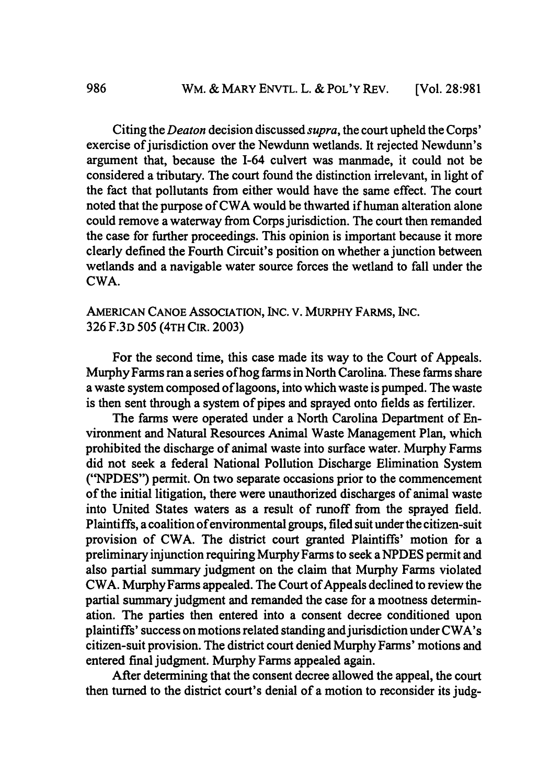Citing the *Deaton* decision discussed *supra,* the court upheld the Corps' exercise of jurisdiction over the Newdunn wetlands. It rejected Newdunn's argument that, because the 1-64 culvert was manmade, it could not be considered a tributary. The court found the distinction irrelevant, in light of the fact that pollutants from either would have the same effect. The court noted that the purpose of CWA would be thwarted if human alteration alone could remove a waterway from Corps jurisdiction. The court then remanded the case for further proceedings. This opinion is important because it more clearly defined the Fourth Circuit's position on whether a junction between wetlands and a navigable water source forces the wetland to fall under the CWA.

## AMERICAN CANOE ASSOCIATION, **INC.** V. MURPHY FARMS, INC. 326 F.3D 505 (4TH CIR. 2003)

For the second time, this case made its way to the Court of Appeals. Murphy Farms ran a series of hog farms in North Carolina. These farms share a waste system composed of lagoons, into which waste is pumped. The waste is then sent through a system of pipes and sprayed onto fields as fertilizer.

The farms were operated under a North Carolina Department of Environment and Natural Resources Animal Waste Management Plan, which prohibited the discharge of animal waste into surface water. Murphy Farms did not seek a federal National Pollution Discharge Elimination System ("NPDES") permit. On two separate occasions prior to the commencement of the initial litigation, there were unauthorized discharges of animal waste into United States waters as a result of runoff from the sprayed field. Plaintiffs, a coalition of environmental groups, filed suit under the citizen-suit provision of CWA. The district court granted Plaintiffs' motion for a preliminary injunction requiring Murphy Farms to seek a NPDES permit and also partial summary judgment on the claim that Murphy Farms violated CWA. Murphy Farms appealed. The Court of Appeals declined to review the partial summary judgment and remanded the case for a mootness determination. The parties then entered into a consent decree conditioned upon plaintiffs' success on motions related standing and jurisdiction under CWA's citizen-suit provision. The district court denied Murphy Farms' motions and entered final judgment. Murphy Farms appealed again.

After determining that the consent decree allowed the appeal, the court then turned to the district court's denial of a motion to reconsider its judg-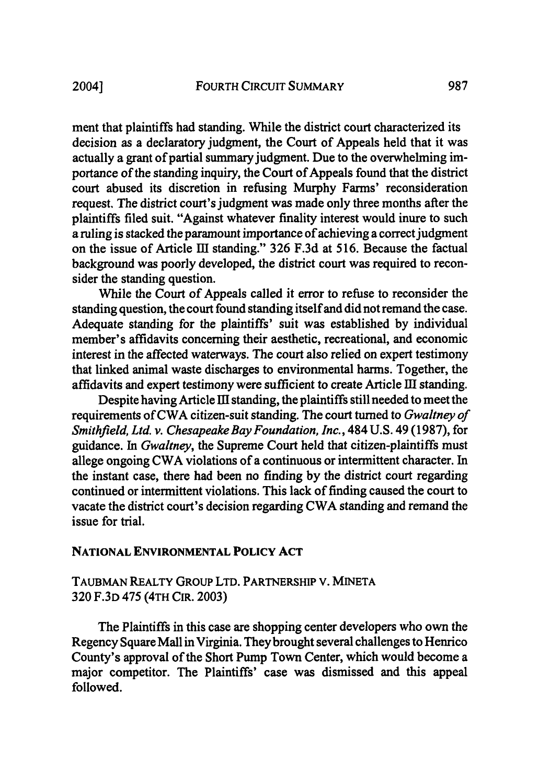ment that plaintiffs had standing. While the district court characterized its decision as a declaratory judgment, the Court of Appeals held that it was actually a grant of partial summary judgment. Due to the overwhelming importance of the standing inquiry, the Court of Appeals found that the district court abused its discretion in refusing Murphy Farms' reconsideration request. The district court's judgment was made only three months after the plaintiffs filed suit. "Against whatever finality interest would inure to such a ruling is stacked the paramount importance of achieving a correct judgment on the issue of Article **Ell** standing." 326 F.3d at 516. Because the factual background was poorly developed, the district court was required to reconsider the standing question.

While the Court of Appeals called it error to refuse to reconsider the standing question, the court found standing itself and did not remand the case. Adequate standing for the plaintiffs' suit was established by individual member's affidavits concerning their aesthetic, recreational, and economic interest in the affected waterways. The court also relied on expert testimony that linked animal waste discharges to environmental harms. Together, the affidavits and expert testimony were sufficient to create Article III standing.

Despite having Article III standing, the plaintiffs still needed to meet the requirements of CWA citizen-suit standing. The court turned to *Gwaltney of Smithfield, Ltd. v. Chesapeake Bay Foundation, Inc.,* 484 U.S. 49 (1987), for guidance. In *Gwaltney,* the Supreme Court held that citizen-plaintiffs must allege ongoing CWA violations of a continuous or intermittent character. In the instant case, there had been no finding by the district court regarding continued or intermittent violations. This lack of finding caused the court to vacate the district court's decision regarding CWA standing and remand the issue for trial.

## **NATIONAL ENVIRONMENTAL POLICY ACT**

## TAUBMAN REALTY GROUP LTD. PARTNERSHIP **V. MINETA 320** F.3D 475 (4TH CIR. 2003)

The Plaintiffs in this case are shopping center developers who own the Regency Square Mall in Virginia. They brought several challenges to Henrico County's approval of the Short Pump Town Center, which would become a major competitor. The Plaintiffs' case was dismissed and this appeal followed.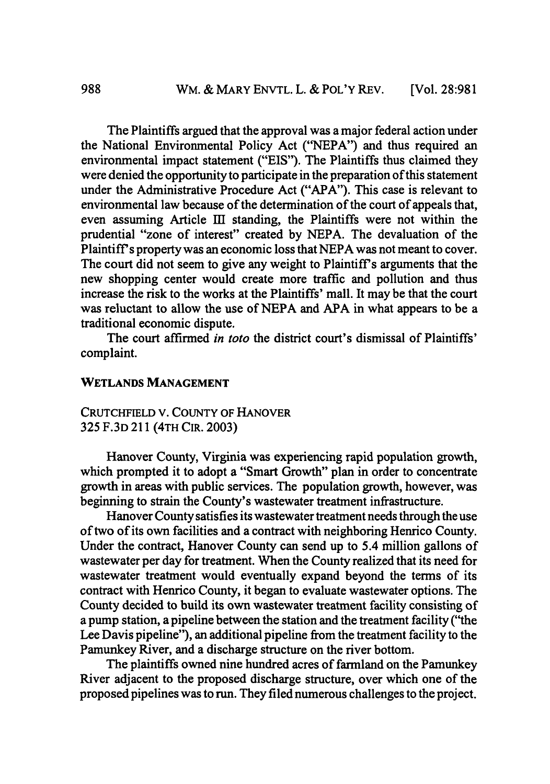The Plaintiffs argued that the approval was a major federal action under the National Environmental Policy Act ("NEPA") and thus required an environmental impact statement ("EIS"). The Plaintiffs thus claimed they were denied the opportunity to participate in the preparation of this statement under the Administrative Procedure Act ("APA"). This case is relevant to environmental law because of the determination of the court of appeals that, even assuming Article III standing, the Plaintiffs were not within the prudential "zone of interest" created by NEPA. The devaluation of the Plaintiff's property was an economic loss that NEPA was not meant to cover. The court did not seem to give any weight to Plaintiff's arguments that the new shopping center would create more traffic and pollution and thus increase the risk to the works at the Plaintiffs' mall. It may be that the court was reluctant to allow the use of NEPA and **APA** in what appears to be a traditional economic dispute.

The court affirmed *in toto* the district court's dismissal of Plaintiffs' complaint.

### **WETLANDS MANAGEMENT**

CRUTCHFIELD V. COUNTY OF HANOVER 325 F.3D 211 (4TH CIR. 2003)

Hanover County, Virginia was experiencing rapid population growth, which prompted it to adopt a "Smart Growth" plan in order to concentrate growth in areas with public services. The population growth, however, was beginning to strain the County's wastewater treatment infrastructure.

Hanover County satisfies its wastewater treatment needs through the use of two of its own facilities and a contract with neighboring Henrico County. Under the contract, Hanover County can send up to 5.4 million gallons of wastewater per day for treatment. When the County realized that its need for wastewater treatment would eventually expand beyond the terms of its contract with Henrico County, it began to evaluate wastewater options. The County decided to build its own wastewater treatment facility consisting of a pump station, a pipeline between the station and the treatment facility ("the Lee Davis pipeline"), an additional pipeline from the treatment facility to the Pamunkey River, and a discharge structure on the river bottom.

The plaintiffs owned nine hundred acres of farmland on the Pamunkey River adjacent to the proposed discharge structure, over which one of the proposed pipelines was to run. They filed numerous challenges to the project.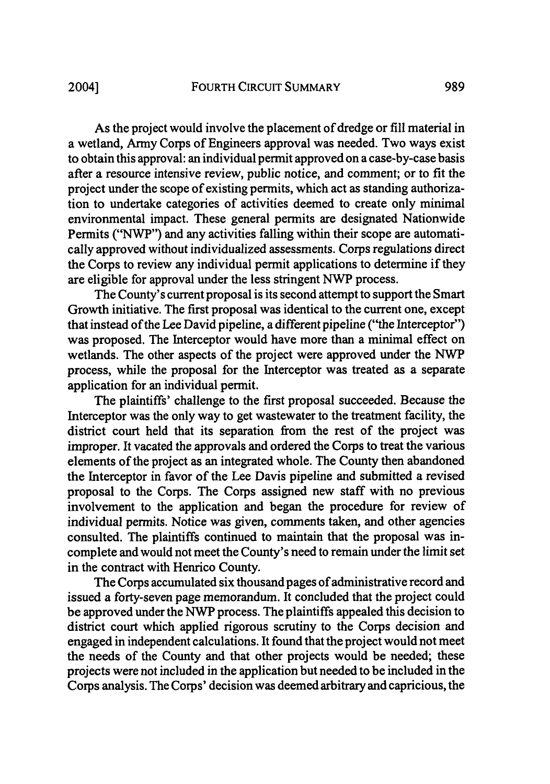As the project would involve the placement of dredge or fill material in a wetland, Army Corps of Engineers approval was needed. Two ways exist to obtain this approval: an individual permit approved on a case-by-case basis after a resource intensive review, public notice, and comment; or to fit the project under the scope of existing permits, which act as standing authorization to undertake categories of activities deemed to create only minimal environmental impact. These general permits are designated Nationwide Permits ("NWP") and any activities falling within their scope are automatically approved without individualized assessments. Corps regulations direct the Corps to review any individual permit applications to determine if they are eligible for approval under the less stringent NWP process.

The County's current proposal is its second attempt to support the Smart Growth initiative. The first proposal was identical to the current one, except that instead of the Lee David pipeline, a different pipeline ("the Interceptor") was proposed. The Interceptor would have more than a minimal effect on wetlands. The other aspects of the project were approved under the NWP process, while the proposal for the Interceptor was treated as a separate application for an individual permit.

The plaintiffs' challenge to the first proposal succeeded. Because the Interceptor was the only way to get wastewater to the treatment facility, the district court held that its separation from the rest of the project was improper. It vacated the approvals and ordered the Corps to treat the various elements of the project as an integrated whole. The County then abandoned the Interceptor in favor of the Lee Davis pipeline and submitted a revised proposal to the Corps. The Corps assigned new staff with no previous involvement to the application and began the procedure for review of individual permits. Notice was given, comments taken, and other agencies consulted. The plaintiffs continued to maintain that the proposal was incomplete and would not meet the County's need to remain under the limit set in the contract with Henrico County.

The Corps accumulated six thousand pages of administrative record and issued a forty-seven page memorandum. It concluded that the project could be approved under the NWP process. The plaintiffs appealed this decision to district court which applied rigorous scrutiny to the Corps decision and engaged in independent calculations. It found that the project would not meet the needs of the County and that other projects would be needed; these projects were not included in the application but needed to be included in the Corps analysis. The Corps' decision was deemed arbitrary and capricious, the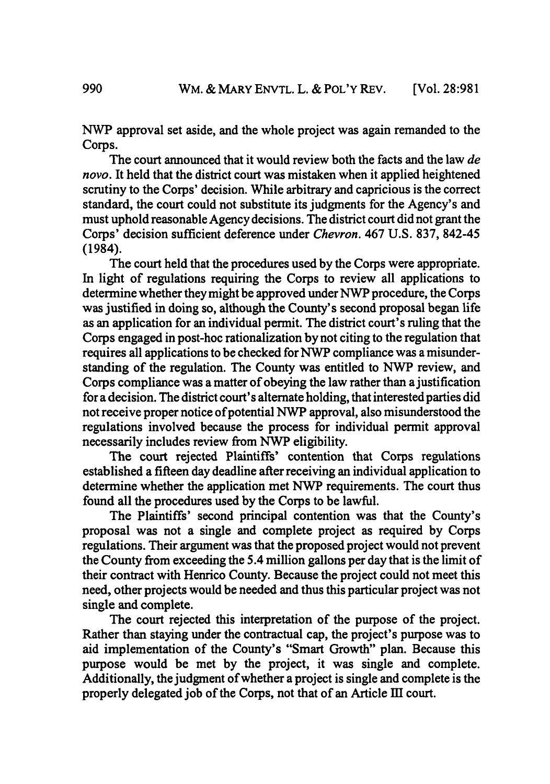NWP approval set aside, and the whole project was again remanded to the Corps.

The court announced that it would review both the facts and the law *de novo.* It held that the district court was mistaken when it applied heightened scrutiny to the Corps' decision. While arbitrary and capricious is the correct standard, the court could not substitute its judgments for the Agency's and must uphold reasonable Agency decisions. The district court did not grant the Corps' decision sufficient deference under *Chevron.* 467 U.S. 837, 842-45 (1984).

The court held that the procedures used by the Corps were appropriate. In light of regulations requiring the Corps to review all applications to determine whether they might be approved under NWP procedure, the Corps was justified in doing so, although the County's second proposal began life as an application for an individual permit. The district court's ruling that the Corps engaged in post-hoc rationalization by not citing to the regulation that requires all applications to be checked for NWP compliance was a misunderstanding of the regulation. The County was entitled to NWP review, and Corps compliance was a matter of obeying the law rather than a justification for a decision. The district court's alternate holding, that interested parties did not receive proper notice of potential NWP approval, also misunderstood the regulations involved because the process for individual permit approval necessarily includes review from NWP eligibility.

The court rejected Plaintiffs' contention that Corps regulations established a fifteen day deadline after receiving an individual application to determine whether the application met NWP requirements. The court thus found all the procedures used by the Corps to be lawful.

The Plaintiffs' second principal contention was that the County's proposal was not a single and complete project as required by Corps regulations. Their argument was that the proposed project would not prevent the County from exceeding the 5.4 million gallons per day that is the limit of their contract with Henrico County. Because the project could not meet this need, other projects would be needed and thus this particular project was not single and complete.

The court rejected this interpretation of the purpose of the project. Rather than staying under the contractual cap, the project's purpose was to aid implementation of the County's "Smart Growth" plan. Because this purpose would be met by the project, it was single and complete. Additionally, the judgment of whether a project is single and complete is the properly delegated job of the Corps, not that of an Article III court.